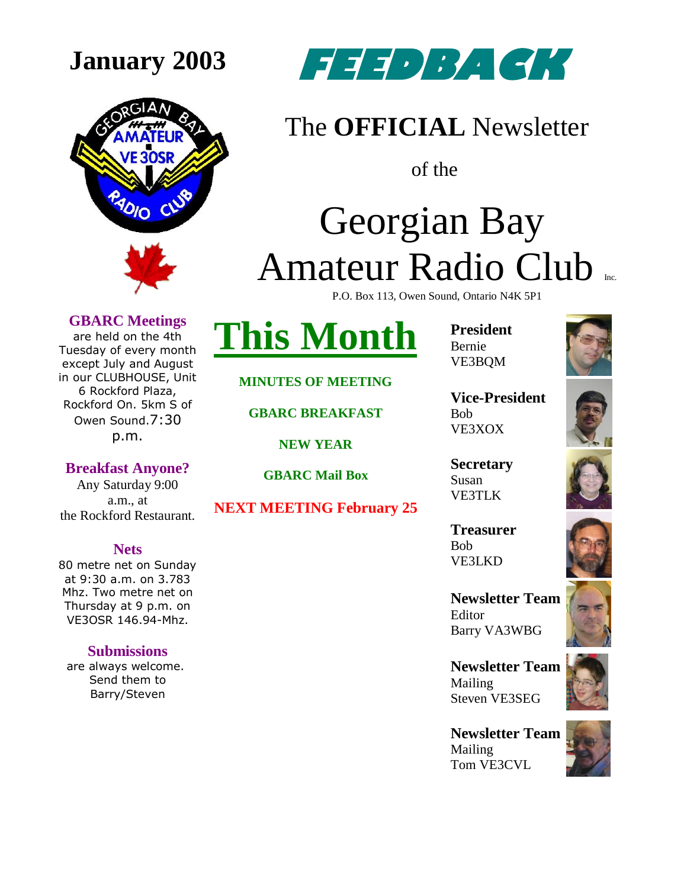



### The **OFFICIAL** Newsletter

of the

## Georgian Bay Amateur Radio Club P.O. Box 113, Owen Sound, Ontario N4K 5P1

**GBARC Meetings**

are held on the 4th Tuesday of every month except July and August in our CLUBHOUSE, Unit 6 Rockford Plaza, Rockford On. 5km S of Owen Sound.7:30 p.m.

**Breakfast Anyone?** Any Saturday 9:00 a.m., at the Rockford Restaurant.

#### **Nets**

80 metre net on Sunday at 9:30 a.m. on 3.783 Mhz. Two metre net on Thursday at 9 p.m. on VE3OSR 146.94-Mhz.

#### **Submissions**

are always welcome. Send them to Barry/Steven

**MINUTES OF MEETING**

**This Month**

**GBARC BREAKFAST** 

**NEW YEAR**

**GBARC Mail Box**

**NEXT MEETING February 25**

**President** Bernie VE3BQM



**Vice-President** Bob VE3XOX

**Secretary** Susan VE3TLK

**Treasurer** Bob VE3LKD

**Newsletter Team**  Editor Barry VA3WBG

**Newsletter Team**  Mailing Steven VE3SEG

**Newsletter Team**  Mailing Tom VE3CVL









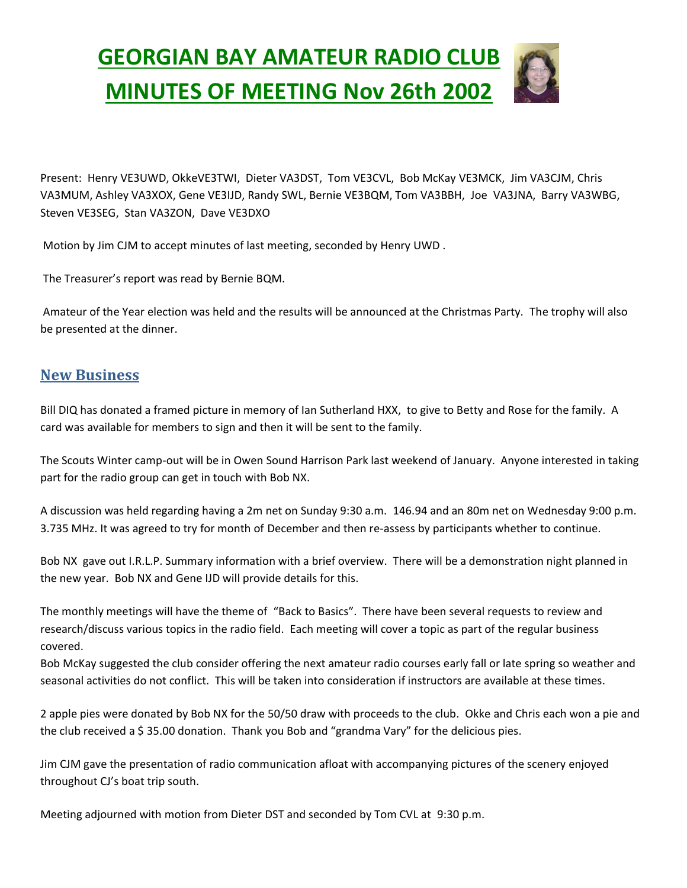## **GEORGIAN BAY AMATEUR RADIO CLUB MINUTES OF MEETING Nov 26th 2002**



Present: Henry VE3UWD, OkkeVE3TWI, Dieter VA3DST, Tom VE3CVL, Bob McKay VE3MCK, Jim VA3CJM, Chris VA3MUM, Ashley VA3XOX, Gene VE3IJD, Randy SWL, Bernie VE3BQM, Tom VA3BBH, Joe VA3JNA, Barry VA3WBG, Steven VE3SEG, Stan VA3ZON, Dave VE3DXO

Motion by Jim CJM to accept minutes of last meeting, seconded by Henry UWD .

The Treasurer's report was read by Bernie BQM.

Amateur of the Year election was held and the results will be announced at the Christmas Party. The trophy will also be presented at the dinner.

#### **New Business**

Bill DIQ has donated a framed picture in memory of Ian Sutherland HXX, to give to Betty and Rose for the family. A card was available for members to sign and then it will be sent to the family.

The Scouts Winter camp-out will be in Owen Sound Harrison Park last weekend of January. Anyone interested in taking part for the radio group can get in touch with Bob NX.

A discussion was held regarding having a 2m net on Sunday 9:30 a.m. 146.94 and an 80m net on Wednesday 9:00 p.m. 3.735 MHz. It was agreed to try for month of December and then re-assess by participants whether to continue.

Bob NX gave out I.R.L.P. Summary information with a brief overview. There will be a demonstration night planned in the new year. Bob NX and Gene IJD will provide details for this.

The monthly meetings will have the theme of "Back to Basics". There have been several requests to review and research/discuss various topics in the radio field. Each meeting will cover a topic as part of the regular business covered.

Bob McKay suggested the club consider offering the next amateur radio courses early fall or late spring so weather and seasonal activities do not conflict. This will be taken into consideration if instructors are available at these times.

2 apple pies were donated by Bob NX for the 50/50 draw with proceeds to the club. Okke and Chris each won a pie and the club received a \$ 35.00 donation. Thank you Bob and "grandma Vary" for the delicious pies.

Jim CJM gave the presentation of radio communication afloat with accompanying pictures of the scenery enjoyed throughout CJ's boat trip south.

Meeting adjourned with motion from Dieter DST and seconded by Tom CVL at 9:30 p.m.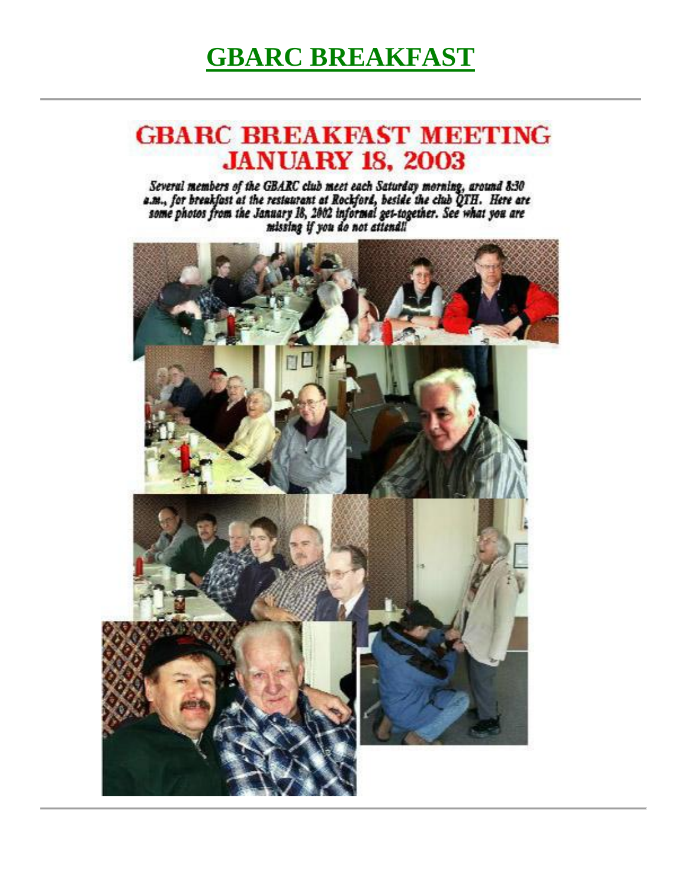### **GBARC BREAKFAST**

### **GBARC BREAKFAST MEETING JANUARY 18, 2003**

Several members of the GBARC club meet each Saturday morning, around 8:30<br>a.m., for breakfast at the restaurant at Rockford, beside the club QTH. Here are<br>some photos from the January 18, 2002 informal get-together. See wh